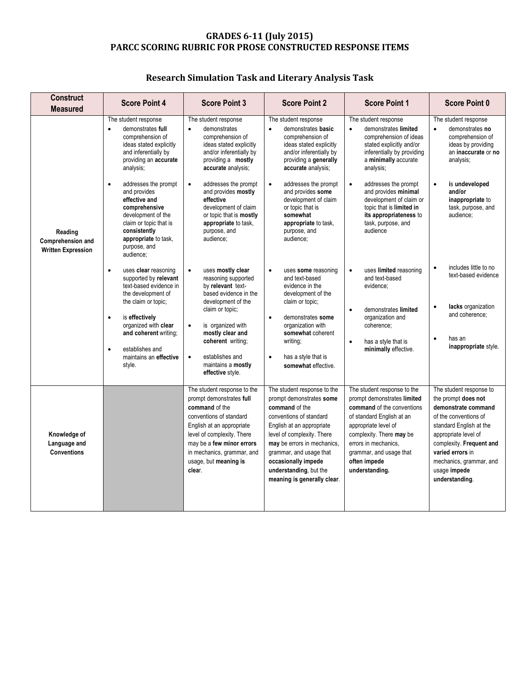## **GRADES 6-11 (July 2015) PARCC SCORING RUBRIC FOR PROSE CONSTRUCTED RESPONSE ITEMS**

## **Research Simulation Task and Literary Analysis Task**

| <b>Construct</b><br><b>Measured</b>                       | <b>Score Point 4</b>                                                                                                                                                                                                                                                                                                                                                            | <b>Score Point 3</b>                                                                                                                                                                                                                                                                                                                                     | <b>Score Point 2</b>                                                                                                                                                                                                                                                                                                                                    | <b>Score Point 1</b>                                                                                                                                                                                                                                                                                                                                               | <b>Score Point 0</b>                                                                                                                                                                                                                                           |
|-----------------------------------------------------------|---------------------------------------------------------------------------------------------------------------------------------------------------------------------------------------------------------------------------------------------------------------------------------------------------------------------------------------------------------------------------------|----------------------------------------------------------------------------------------------------------------------------------------------------------------------------------------------------------------------------------------------------------------------------------------------------------------------------------------------------------|---------------------------------------------------------------------------------------------------------------------------------------------------------------------------------------------------------------------------------------------------------------------------------------------------------------------------------------------------------|--------------------------------------------------------------------------------------------------------------------------------------------------------------------------------------------------------------------------------------------------------------------------------------------------------------------------------------------------------------------|----------------------------------------------------------------------------------------------------------------------------------------------------------------------------------------------------------------------------------------------------------------|
| Reading<br>Comprehension and<br><b>Written Expression</b> | The student response<br>demonstrates full<br>$\bullet$<br>comprehension of<br>ideas stated explicitly<br>and inferentially by<br>providing an accurate<br>analysis;<br>addresses the prompt<br>$\bullet$<br>and provides<br>effective and<br>comprehensive<br>development of the<br>claim or topic that is<br>consistently<br>appropriate to task,<br>purpose, and<br>audience; | The student response<br>demonstrates<br>$\bullet$<br>comprehension of<br>ideas stated explicitly<br>and/or inferentially by<br>providing a mostly<br>accurate analysis;<br>$\bullet$<br>addresses the prompt<br>and provides mostly<br>effective<br>development of claim<br>or topic that is mostly<br>appropriate to task,<br>purpose, and<br>audience; | The student response<br>demonstrates basic<br>$\bullet$<br>comprehension of<br>ideas stated explicitly<br>and/or inferentially by<br>providing a generally<br>accurate analysis;<br>addresses the prompt<br>$\bullet$<br>and provides some<br>development of claim<br>or topic that is<br>somewhat<br>appropriate to task,<br>purpose, and<br>audience; | The student response<br>$\bullet$<br>demonstrates limited<br>comprehension of ideas<br>stated explicitly and/or<br>inferentially by providing<br>a minimally accurate<br>analysis;<br>addresses the prompt<br>$\bullet$<br>and provides minimal<br>development of claim or<br>topic that is limited in<br>its appropriateness to<br>task, purpose, and<br>audience | The student response<br>demonstrates no<br>$\bullet$<br>comprehension of<br>ideas by providing<br>an inaccurate or no<br>analysis;<br>$\bullet$<br>is undeveloped<br>and/or<br>inappropriate to<br>task, purpose, and<br>audience:                             |
|                                                           | $\bullet$<br>uses clear reasoning<br>supported by relevant<br>text-based evidence in<br>the development of<br>the claim or topic;<br>is effectively<br>$\bullet$<br>organized with clear<br>and coherent writing;<br>establishes and<br>$\bullet$<br>maintains an effective<br>style.                                                                                           | uses mostly clear<br>reasoning supported<br>by relevant text-<br>based evidence in the<br>development of the<br>claim or topic;<br>is organized with<br>$\bullet$<br>mostly clear and<br>coherent writing;<br>establishes and<br>$\bullet$<br>maintains a mostly<br>effective style.                                                                     | uses some reasoning<br>$\bullet$<br>and text-based<br>evidence in the<br>development of the<br>claim or topic;<br>demonstrates some<br>$\bullet$<br>organization with<br>somewhat coherent<br>writing:<br>has a style that is<br>$\bullet$<br>somewhat effective.                                                                                       | uses limited reasoning<br>$\bullet$<br>and text-based<br>evidence;<br>demonstrates limited<br>$\bullet$<br>organization and<br>coherence:<br>has a style that is<br>$\bullet$<br>minimally effective.                                                                                                                                                              | includes little to no<br>$\bullet$<br>text-based evidence<br>lacks organization<br>$\bullet$<br>and coherence;<br>$\bullet$<br>has an<br>inappropriate style.                                                                                                  |
| Knowledge of<br>Language and<br><b>Conventions</b>        |                                                                                                                                                                                                                                                                                                                                                                                 | The student response to the<br>prompt demonstrates full<br>command of the<br>conventions of standard<br>English at an appropriate<br>level of complexity. There<br>may be a few minor errors<br>in mechanics, grammar, and<br>usage, but meaning is<br>clear.                                                                                            | The student response to the<br>prompt demonstrates some<br>command of the<br>conventions of standard<br>English at an appropriate<br>level of complexity. There<br>may be errors in mechanics,<br>grammar, and usage that<br>occasionally impede<br>understanding, but the<br>meaning is generally clear.                                               | The student response to the<br>prompt demonstrates limited<br>command of the conventions<br>of standard English at an<br>appropriate level of<br>complexity. There may be<br>errors in mechanics,<br>grammar, and usage that<br>often impede<br>understanding.                                                                                                     | The student response to<br>the prompt does not<br>demonstrate command<br>of the conventions of<br>standard English at the<br>appropriate level of<br>complexity. Frequent and<br>varied errors in<br>mechanics, grammar, and<br>usage impede<br>understanding. |